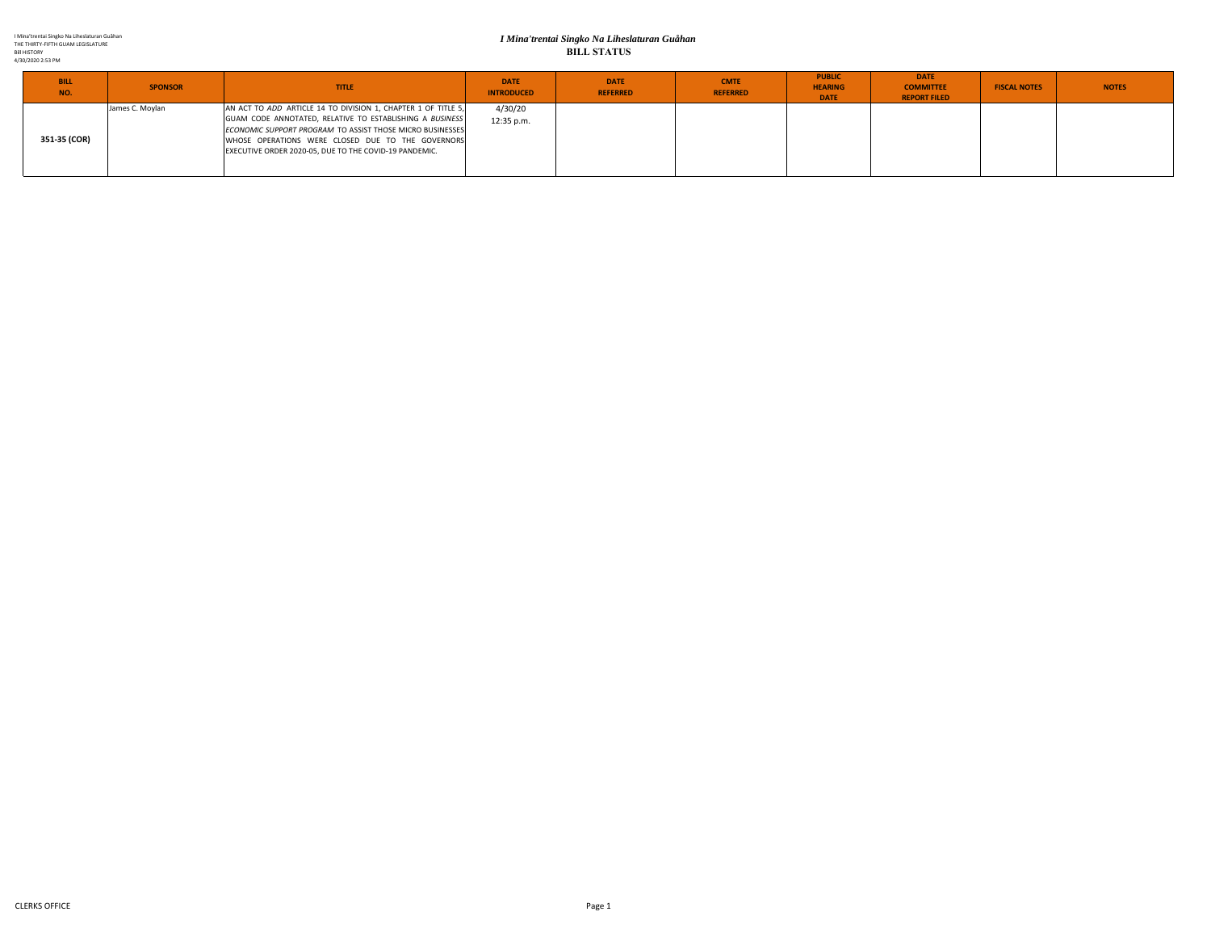## *I Mina'trentai Singko Na Liheslaturan Guåhan* **BILL STATUS**

| <b>BILL</b><br>NO. | <b>SPONSOR</b>  | <b>TITLE</b>                                                                                                                                                                                                                                | <b>DATE</b><br><b>INTRODUCED</b> | <b>DATE</b><br><b>REFERRED</b> | <b>CMTE</b><br><b>REFERRED</b> | <b>PUBLIC</b><br><b>HEARING</b><br><b>DATE</b> | <b>DATE</b><br><b>COMMITTEE</b><br><b>REPORT FILED</b> | <b>FISCAL NOTES</b> | <b>NOTES</b> |
|--------------------|-----------------|---------------------------------------------------------------------------------------------------------------------------------------------------------------------------------------------------------------------------------------------|----------------------------------|--------------------------------|--------------------------------|------------------------------------------------|--------------------------------------------------------|---------------------|--------------|
| 351-35 (COR)       | James C. Moylan | AN ACT TO ADD ARTICLE 14 TO DIVISION 1, CHAPTER 1 OF TITLE 5,<br>GUAM CODE ANNOTATED, RELATIVE TO ESTABLISHING A BUSINESS<br>ECONOMIC SUPPORT PROGRAM TO ASSIST THOSE MICRO BUSINESSES<br>WHOSE OPERATIONS WERE CLOSED DUE TO THE GOVERNORS | 4/30/20<br>12:35 p.m.            |                                |                                |                                                |                                                        |                     |              |
|                    |                 | EXECUTIVE ORDER 2020-05, DUE TO THE COVID-19 PANDEMIC.                                                                                                                                                                                      |                                  |                                |                                |                                                |                                                        |                     |              |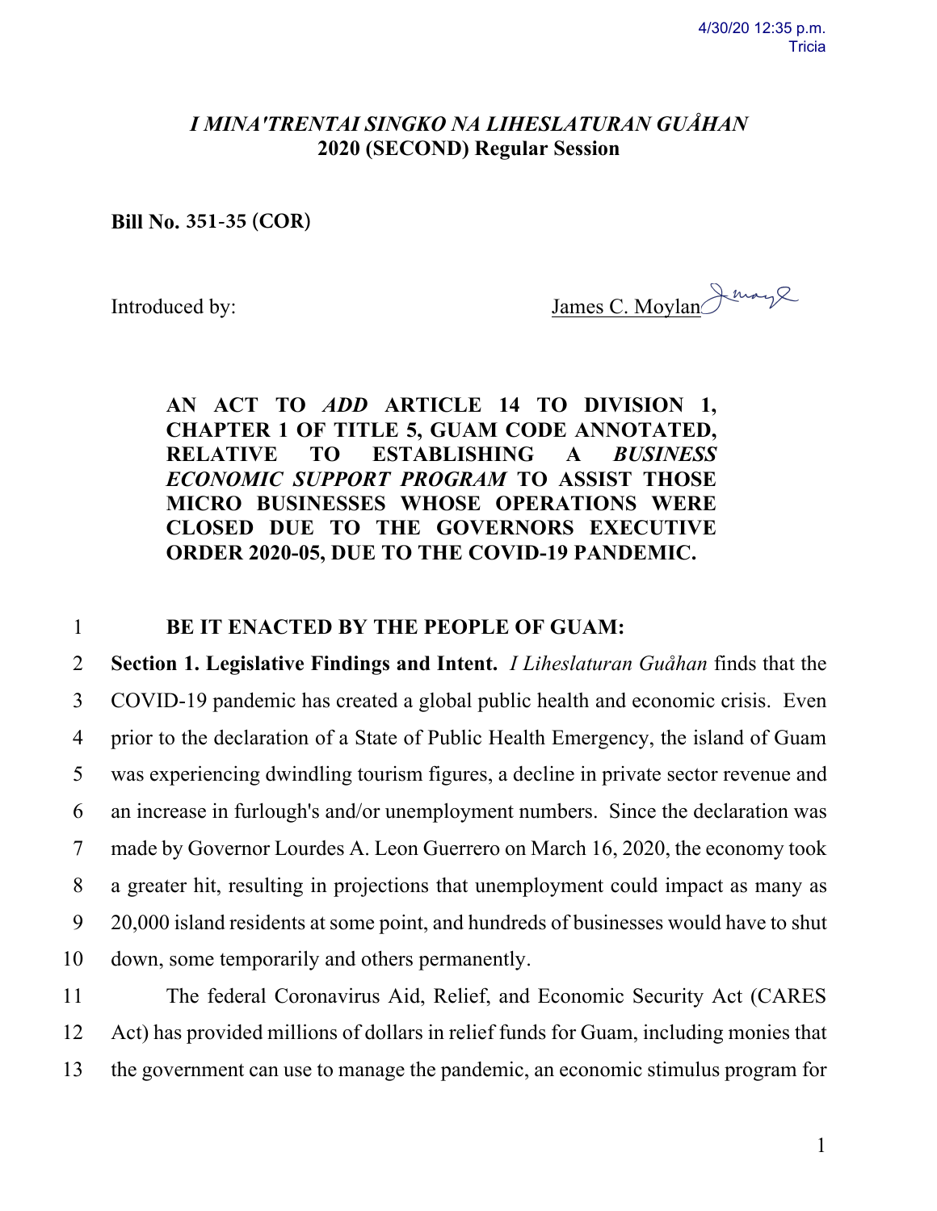## *I MINAʹTRENTAI SINGKO NA LIHESLATURAN GUÅHAN* **2020 (SECOND) Regular Session**

**Bill No. 351-35 (COR)**

Introduced by: James C. Moylan having

## **AN ACT TO** *ADD* **ARTICLE 14 TO DIVISION 1, CHAPTER 1 OF TITLE 5, GUAM CODE ANNOTATED, RELATIVE TO ESTABLISHING A** *BUSINESS ECONOMIC SUPPORT PROGRAM* **TO ASSIST THOSE MICRO BUSINESSES WHOSE OPERATIONS WERE CLOSED DUE TO THE GOVERNORS EXECUTIVE ORDER 2020-05, DUE TO THE COVID-19 PANDEMIC.**

## 1 **BE IT ENACTED BY THE PEOPLE OF GUAM:**

 **Section 1. Legislative Findings and Intent.** *I Liheslaturan Guåhan* finds that the COVID-19 pandemic has created a global public health and economic crisis. Even prior to the declaration of a State of Public Health Emergency, the island of Guam was experiencing dwindling tourism figures, a decline in private sector revenue and an increase in furlough's and/or unemployment numbers. Since the declaration was made by Governor Lourdes A. Leon Guerrero on March 16, 2020, the economy took a greater hit, resulting in projections that unemployment could impact as many as 20,000 island residents at some point, and hundreds of businesses would have to shut down, some temporarily and others permanently.

11 The federal Coronavirus Aid, Relief, and Economic Security Act (CARES 12 Act) has provided millions of dollars in relief funds for Guam, including monies that 13 the government can use to manage the pandemic, an economic stimulus program for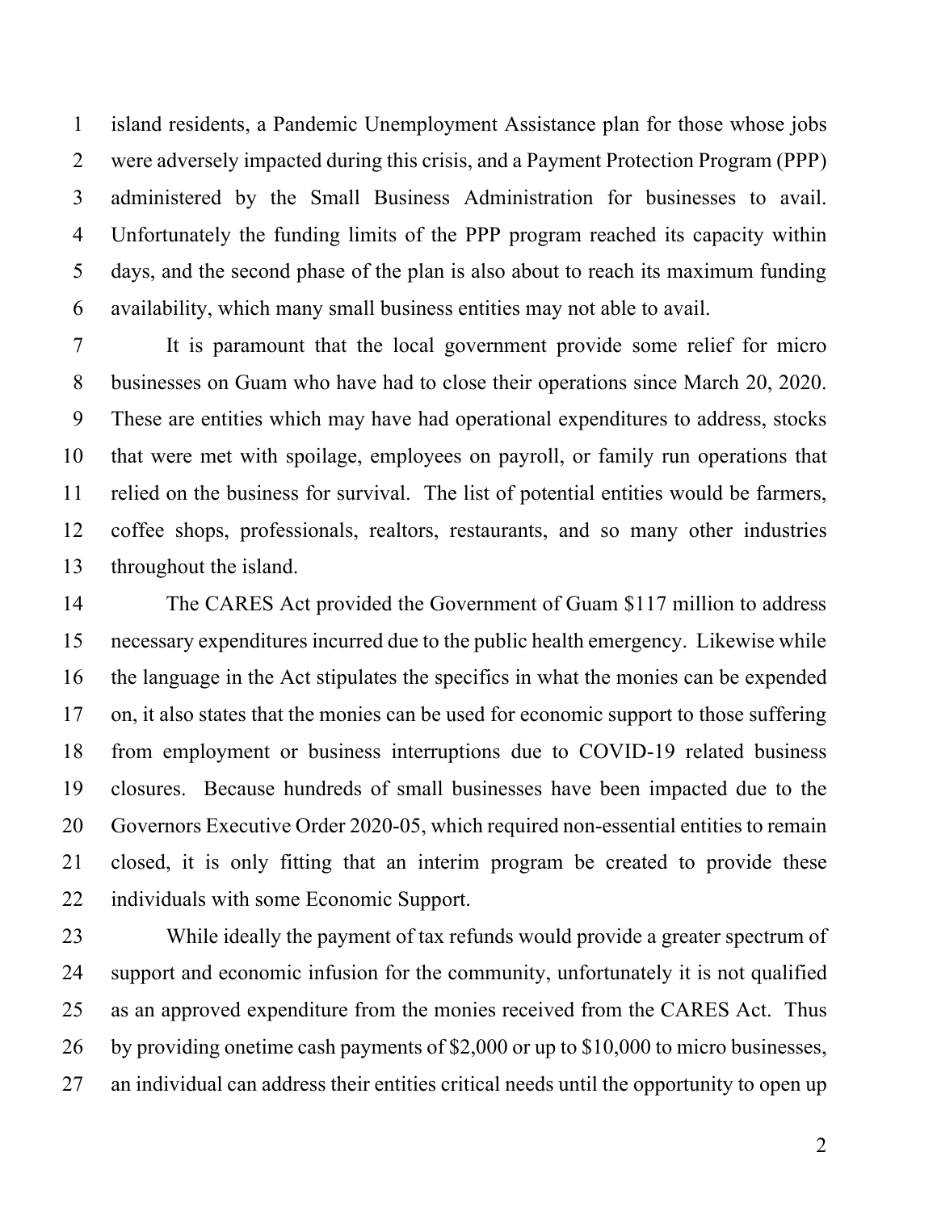island residents, a Pandemic Unemployment Assistance plan for those whose jobs were adversely impacted during this crisis, and a Payment Protection Program (PPP) administered by the Small Business Administration for businesses to avail. Unfortunately the funding limits of the PPP program reached its capacity within days, and the second phase of the plan is also about to reach its maximum funding availability, which many small business entities may not able to avail.

 It is paramount that the local government provide some relief for micro businesses on Guam who have had to close their operations since March 20, 2020. These are entities which may have had operational expenditures to address, stocks that were met with spoilage, employees on payroll, or family run operations that relied on the business for survival. The list of potential entities would be farmers, coffee shops, professionals, realtors, restaurants, and so many other industries throughout the island.

 The CARES Act provided the Government of Guam \$117 million to address necessary expenditures incurred due to the public health emergency. Likewise while the language in the Act stipulates the specifics in what the monies can be expended on, it also states that the monies can be used for economic support to those suffering from employment or business interruptions due to COVID-19 related business closures. Because hundreds of small businesses have been impacted due to the Governors Executive Order 2020-05, which required non-essential entities to remain closed, it is only fitting that an interim program be created to provide these individuals with some Economic Support.

 While ideally the payment of tax refunds would provide a greater spectrum of support and economic infusion for the community, unfortunately it is not qualified as an approved expenditure from the monies received from the CARES Act. Thus by providing onetime cash payments of \$2,000 or up to \$10,000 to micro businesses, an individual can address their entities critical needs until the opportunity to open up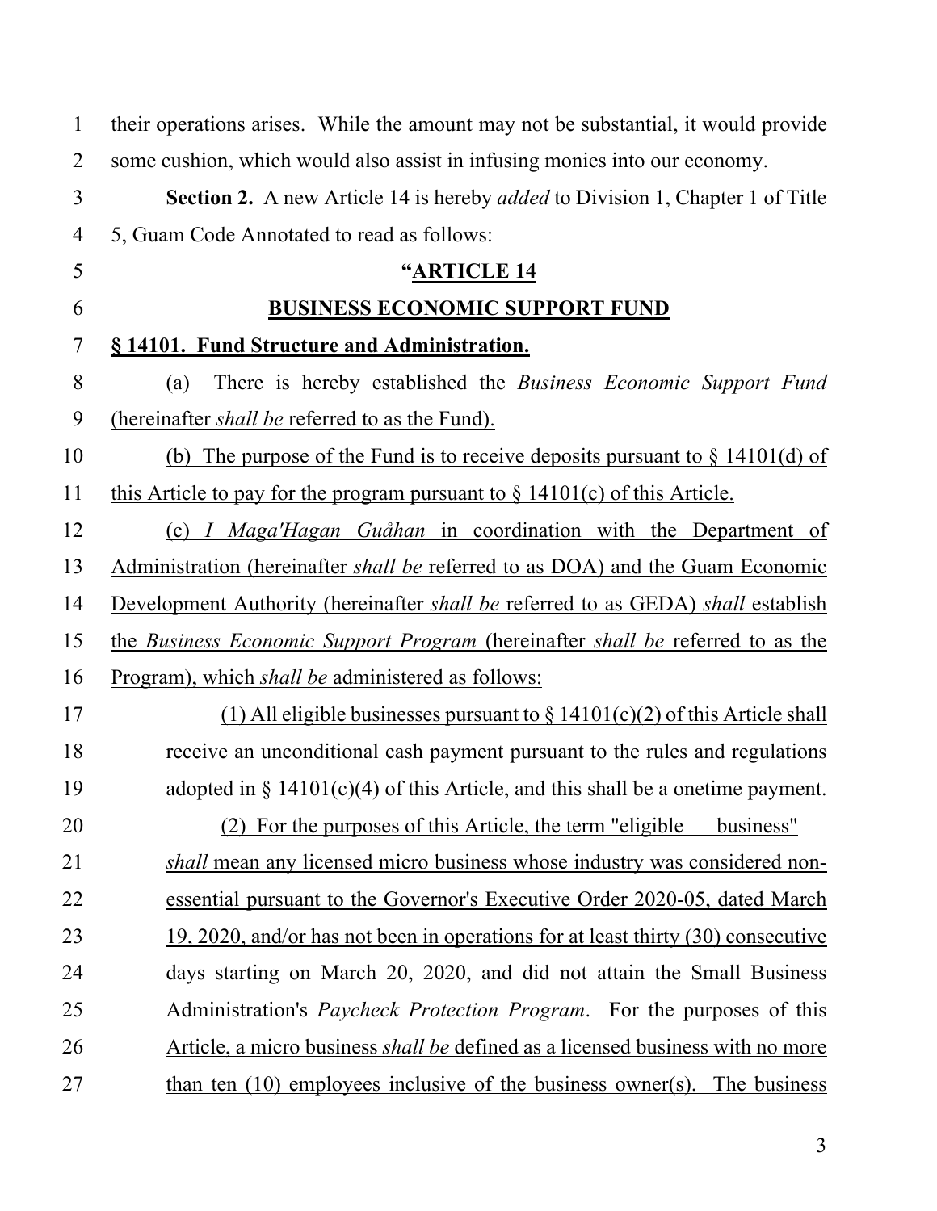| $\mathbf{1}$   | their operations arises. While the amount may not be substantial, it would provide             |
|----------------|------------------------------------------------------------------------------------------------|
| $\overline{2}$ | some cushion, which would also assist in infusing monies into our economy.                     |
| 3              | <b>Section 2.</b> A new Article 14 is hereby <i>added</i> to Division 1, Chapter 1 of Title    |
| $\overline{4}$ | 5, Guam Code Annotated to read as follows:                                                     |
| 5              | "ARTICLE 14                                                                                    |
| 6              | <b>BUSINESS ECONOMIC SUPPORT FUND</b>                                                          |
| $\tau$         | § 14101. Fund Structure and Administration.                                                    |
| 8              | There is hereby established the <i>Business Economic Support Fund</i><br>(a)                   |
| 9              | (hereinafter <i>shall be</i> referred to as the Fund).                                         |
| 10             | (b) The purpose of the Fund is to receive deposits pursuant to $\S$ 14101(d) of                |
| 11             | this Article to pay for the program pursuant to $\S$ 14101(c) of this Article.                 |
| 12             | (c) <i>I Maga'Hagan Guåhan</i> in coordination with the Department of                          |
| 13             | Administration (hereinafter <i>shall be</i> referred to as DOA) and the Guam Economic          |
| 14             | Development Authority (hereinafter <i>shall be</i> referred to as GEDA) <i>shall</i> establish |
| 15             | the Business Economic Support Program (hereinafter shall be referred to as the                 |
| 16             | <u>Program), which shall be administered as follows:</u>                                       |
| 17             | $(1)$ All eligible businesses pursuant to $\S$ 14101(c)(2) of this Article shall               |
| 18             | receive an unconditional cash payment pursuant to the rules and regulations                    |
| 19             | adopted in $\S$ 14101(c)(4) of this Article, and this shall be a onetime payment.              |
| 20             | (2) For the purposes of this Article, the term "eligible<br>business"                          |
| 21             | <i>shall</i> mean any licensed micro business whose industry was considered non-               |
| 22             | essential pursuant to the Governor's Executive Order 2020-05, dated March                      |
| 23             | 19, 2020, and/or has not been in operations for at least thirty (30) consecutive               |
| 24             | days starting on March 20, 2020, and did not attain the Small Business                         |
| 25             | Administration's <i>Paycheck Protection Program</i> . For the purposes of this                 |
| 26             | Article, a micro business <i>shall be</i> defined as a licensed business with no more          |
| 27             | than ten $(10)$ employees inclusive of the business owner(s). The business                     |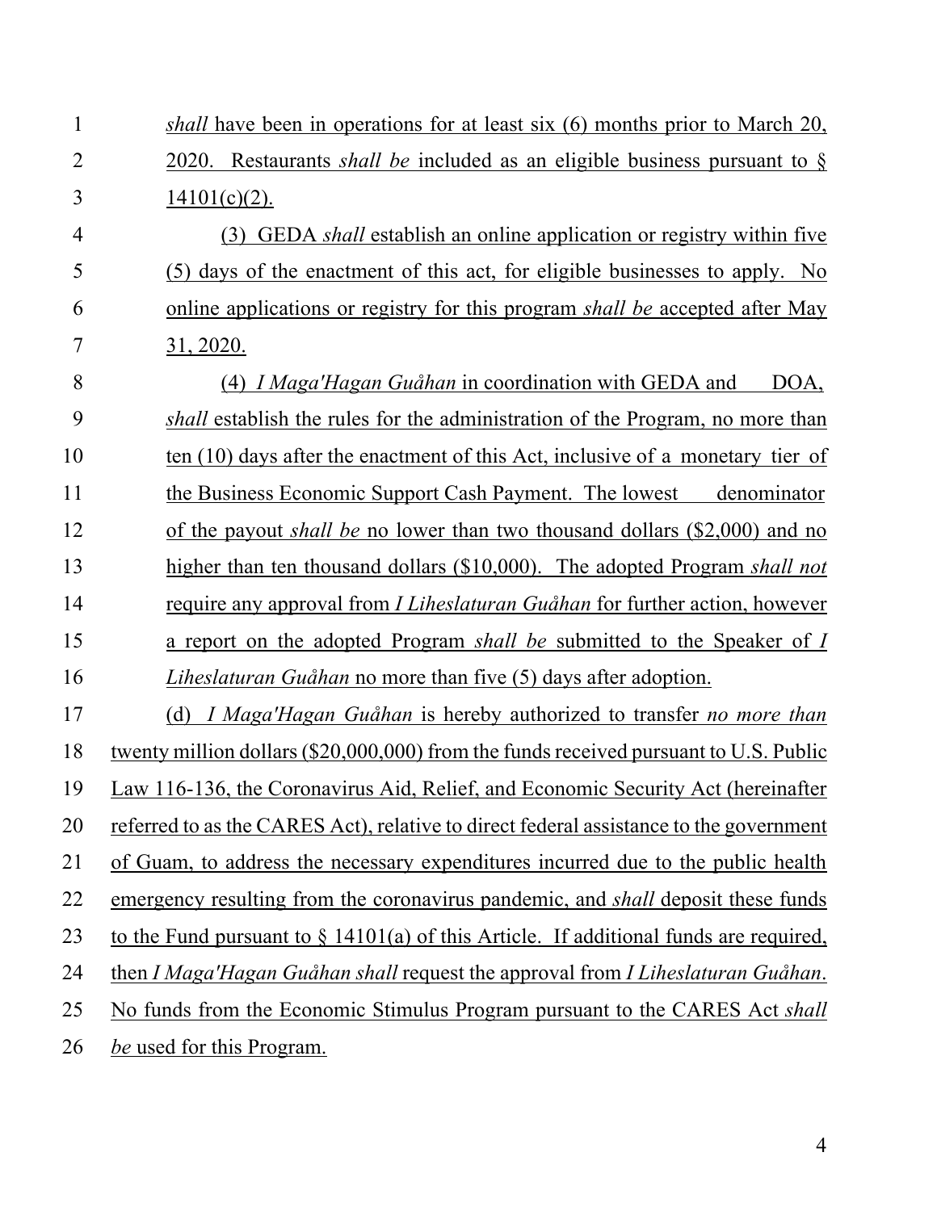| $\mathbf{1}$   | <i>shall</i> have been in operations for at least six (6) months prior to March 20,          |
|----------------|----------------------------------------------------------------------------------------------|
| $\overline{2}$ | 2020. Restaurants <i>shall be</i> included as an eligible business pursuant to $\S$          |
| 3              | $14101(c)(2)$ .                                                                              |
| 4              | (3) GEDA <i>shall</i> establish an online application or registry within five                |
| 5              | (5) days of the enactment of this act, for eligible businesses to apply. No                  |
| 6              | online applications or registry for this program <i>shall be</i> accepted after May          |
| 7              | 31, 2020.                                                                                    |
| 8              | (4) <i>I Maga'Hagan Guåhan</i> in coordination with GEDA and<br>DOA.                         |
| 9              | shall establish the rules for the administration of the Program, no more than                |
| 10             | ten $(10)$ days after the enactment of this Act, inclusive of a monetary tier of             |
| 11             | the Business Economic Support Cash Payment. The lowest<br>denominator                        |
| 12             | of the payout <i>shall be</i> no lower than two thousand dollars (\$2,000) and no            |
| 13             | higher than ten thousand dollars (\$10,000). The adopted Program shall not                   |
| 14             | require any approval from <i>I Liheslaturan Guåhan</i> for further action, however           |
| 15             | a report on the adopted Program <i>shall be</i> submitted to the Speaker of I                |
| 16             | <i>Liheslaturan Guåhan</i> no more than five (5) days after adoption.                        |
| 17             | (d) I Maga'Hagan Guåhan is hereby authorized to transfer no more than                        |
| 18             | <u>twenty million dollars (\$20,000,000) from the funds received pursuant to U.S. Public</u> |
| 19             | Law 116-136, the Coronavirus Aid, Relief, and Economic Security Act (hereinafter             |
| 20             | referred to as the CARES Act), relative to direct federal assistance to the government       |
| 21             | of Guam, to address the necessary expenditures incurred due to the public health             |
| 22             | emergency resulting from the coronavirus pandemic, and <i>shall</i> deposit these funds      |
| 23             | to the Fund pursuant to $\S$ 14101(a) of this Article. If additional funds are required,     |
| 24             | then I Maga'Hagan Guåhan shall request the approval from I Liheslaturan Guåhan.              |
| 25             | No funds from the Economic Stimulus Program pursuant to the CARES Act shall                  |
| 26             | be used for this Program.                                                                    |